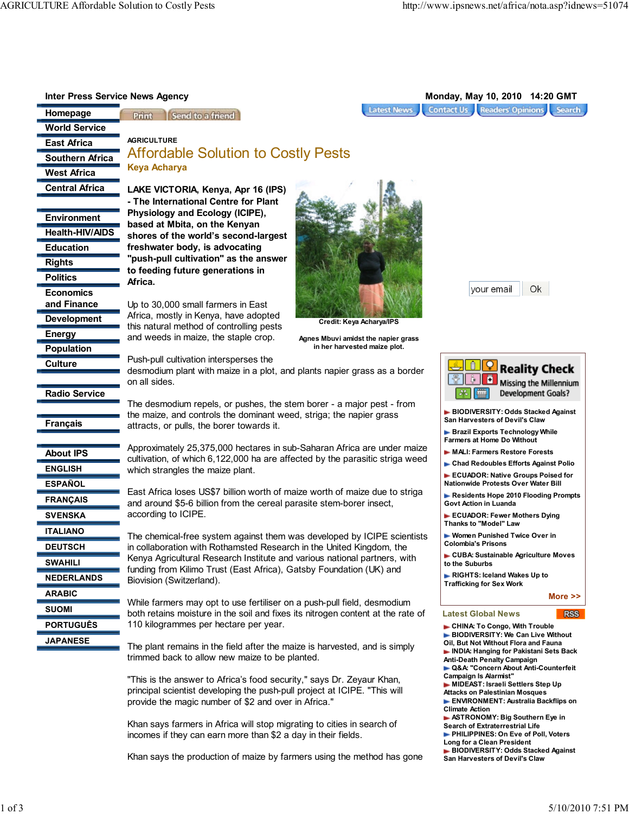| <b>Inter Press Service News Agency</b> |                                                                                                                                                     | Monday, May 10, 2010 14:20 GMT                                          |
|----------------------------------------|-----------------------------------------------------------------------------------------------------------------------------------------------------|-------------------------------------------------------------------------|
| Homepage                               | <b>Latest News</b><br>Send to a friend<br>Print                                                                                                     | <b>Contact Us Readers' Opinions Search</b>                              |
| <b>World Service</b>                   |                                                                                                                                                     |                                                                         |
| <b>East Africa</b>                     | <b>AGRICULTURE</b>                                                                                                                                  |                                                                         |
| <b>Southern Africa</b>                 | <b>Affordable Solution to Costly Pests</b>                                                                                                          |                                                                         |
| <b>West Africa</b>                     | <b>Keya Acharya</b>                                                                                                                                 |                                                                         |
|                                        |                                                                                                                                                     |                                                                         |
| <b>Central Africa</b>                  | LAKE VICTORIA, Kenya, Apr 16 (IPS)                                                                                                                  |                                                                         |
|                                        | - The International Centre for Plant<br>Physiology and Ecology (ICIPE),                                                                             |                                                                         |
| <b>Environment</b>                     | based at Mbita, on the Kenyan                                                                                                                       |                                                                         |
| <b>Health-HIV/AIDS</b>                 | shores of the world's second-largest                                                                                                                |                                                                         |
| <b>Education</b>                       | freshwater body, is advocating                                                                                                                      |                                                                         |
| <b>Rights</b>                          | "push-pull cultivation" as the answer                                                                                                               |                                                                         |
| <b>Politics</b>                        | to feeding future generations in                                                                                                                    |                                                                         |
| <b>Economics</b>                       | Africa.                                                                                                                                             | Ok<br>vour email                                                        |
| and Finance                            | Up to 30,000 small farmers in East                                                                                                                  |                                                                         |
| <b>Development</b>                     | Africa, mostly in Kenya, have adopted                                                                                                               |                                                                         |
|                                        | Credit: Keya Acharya/IPS<br>this natural method of controlling pests                                                                                |                                                                         |
| Energy                                 | and weeds in maize, the staple crop.<br>Agnes Mbuvi amidst the napier grass                                                                         |                                                                         |
| Population                             | in her harvested maize plot.                                                                                                                        |                                                                         |
| Culture                                | Push-pull cultivation intersperses the<br>desmodium plant with maize in a plot, and plants napier grass as a border                                 | <b>Reality Check</b>                                                    |
|                                        | on all sides.                                                                                                                                       | Missing the Millennium                                                  |
| <b>Radio Service</b>                   |                                                                                                                                                     | Development Goals?                                                      |
|                                        | The desmodium repels, or pushes, the stem borer - a major pest - from                                                                               |                                                                         |
| <b>Français</b>                        | the maize, and controls the dominant weed, striga; the napier grass                                                                                 | BIODIVERSITY: Odds Stacked Against<br>San Harvesters of Devil's Claw    |
|                                        | attracts, or pulls, the borer towards it.                                                                                                           | ► Brazil Exports Technology While                                       |
|                                        | Approximately 25,375,000 hectares in sub-Saharan Africa are under maize                                                                             | <b>Farmers at Home Do Without</b>                                       |
| <b>About IPS</b>                       | cultivation, of which 6,122,000 ha are affected by the parasitic striga weed                                                                        | MALI: Farmers Restore Forests<br>► Chad Redoubles Efforts Against Polio |
| <b>ENGLISH</b>                         | which strangles the maize plant.                                                                                                                    | ECUADOR: Native Groups Poised for                                       |
| <b>ESPAÑOL</b>                         |                                                                                                                                                     | Nationwide Protests Over Water Bill                                     |
| <b>FRANÇAIS</b>                        | East Africa loses US\$7 billion worth of maize worth of maize due to striga<br>and around \$5-6 billion from the cereal parasite stem-borer insect, | Residents Hope 2010 Flooding Prompts<br>Govt Action in Luanda           |
| <b>SVENSKA</b>                         | according to ICIPE.                                                                                                                                 | ECUADOR: Fewer Mothers Dying                                            |
|                                        |                                                                                                                                                     | Thanks to "Model" Law                                                   |
| <b>ITALIANO</b>                        | The chemical-free system against them was developed by ICIPE scientists                                                                             | ► Women Punished Twice Over in<br><b>Colombia's Prisons</b>             |
| <b>DEUTSCH</b>                         | in collaboration with Rothamsted Research in the United Kingdom, the                                                                                | ► CUBA: Sustainable Agriculture Moves                                   |
| <b>SWAHILI</b>                         | Kenya Agricultural Research Institute and various national partners, with<br>funding from Kilimo Trust (East Africa), Gatsby Foundation (UK) and    | to the Suburbs                                                          |
| <b>NEDERLANDS</b>                      | Biovision (Switzerland).                                                                                                                            | ► RIGHTS: Iceland Wakes Up to                                           |
| <b>ARABIC</b>                          |                                                                                                                                                     | <b>Trafficking for Sex Work</b>                                         |
| <b>SUOMI</b>                           | While farmers may opt to use fertiliser on a push-pull field, desmodium                                                                             | More $\geq$                                                             |
|                                        | both retains moisture in the soil and fixes its nitrogen content at the rate of                                                                     | <b>Latest Global News</b><br><b>RSS</b>                                 |
| <b>PORTUGUÊS</b>                       | 110 kilogrammes per hectare per year.                                                                                                               | CHINA: To Congo, With Trouble<br>BIODIVERSITY: We Can Live Without      |
| <b>JAPANESE</b>                        | The plant remains in the field after the maize is harvested, and is simply                                                                          | Oil, But Not Without Flora and Fauna                                    |
|                                        | trimmed back to allow new maize to be planted.                                                                                                      | INDIA: Hanging for Pakistani Sets Back<br>Anti-Death Penalty Campaign   |
|                                        |                                                                                                                                                     | ► Q&A: "Concern About Anti-Counterfeit                                  |
|                                        | "This is the answer to Africa's food security," says Dr. Zeyaur Khan,                                                                               | <b>Campaign Is Alarmist"</b><br>MIDEAST: Israeli Settlers Step Up       |
|                                        | principal scientist developing the push-pull project at ICIPE. "This will                                                                           | Attacks on Palestinian Mosques<br>ENVIRONMENT: Australia Backflips on   |
|                                        | provide the magic number of \$2 and over in Africa."                                                                                                | <b>Climate Action</b>                                                   |

Khan says farmers in Africa will stop migrating to cities in search of incomes if they can earn more than \$2 a day in their fields.

Khan says the production of maize by farmers using the method has gone

 ASTRONOMY: Big Southern Eye in Search of Extraterrestrial Life PHILIPPINES: On Eve of Poll, Voters

 BIODIVERSITY: Odds Stacked Against San Harvesters of Devil's Claw

Long for a Clean President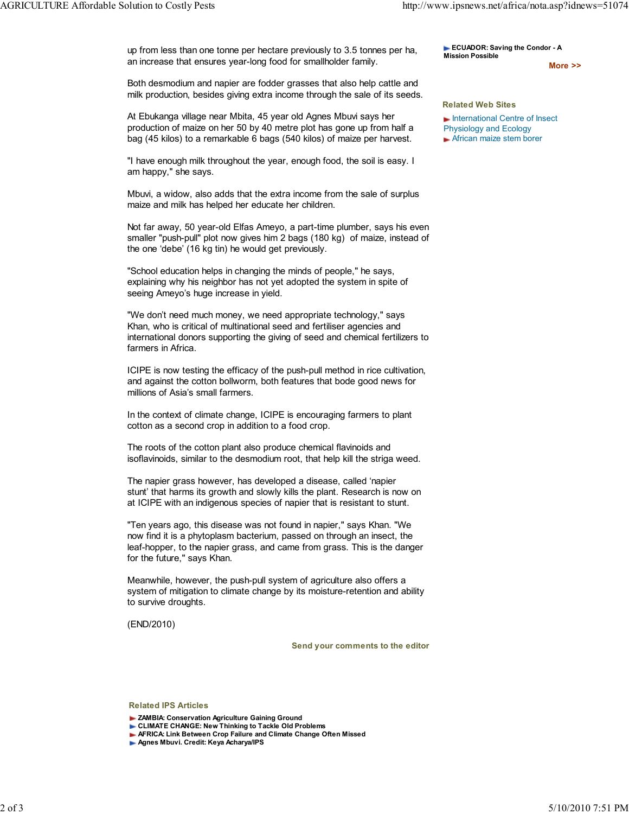up from less than one tonne per hectare previously to 3.5 tonnes per ha, an increase that ensures year-long food for smallholder family.

Both desmodium and napier are fodder grasses that also help cattle and milk production, besides giving extra income through the sale of its seeds.

At Ebukanga village near Mbita, 45 year old Agnes Mbuvi says her production of maize on her 50 by 40 metre plot has gone up from half a bag (45 kilos) to a remarkable 6 bags (540 kilos) of maize per harvest.

"I have enough milk throughout the year, enough food, the soil is easy. I am happy," she says.

Mbuvi, a widow, also adds that the extra income from the sale of surplus maize and milk has helped her educate her children.

Not far away, 50 year-old Elfas Ameyo, a part-time plumber, says his even smaller "push-pull" plot now gives him 2 bags (180 kg) of maize, instead of the one 'debe' (16 kg tin) he would get previously.

"School education helps in changing the minds of people," he says, explaining why his neighbor has not yet adopted the system in spite of seeing Ameyo's huge increase in yield.

"We don't need much money, we need appropriate technology," says Khan, who is critical of multinational seed and fertiliser agencies and international donors supporting the giving of seed and chemical fertilizers to farmers in Africa.

ICIPE is now testing the efficacy of the push-pull method in rice cultivation, and against the cotton bollworm, both features that bode good news for millions of Asia's small farmers.

In the context of climate change, ICIPE is encouraging farmers to plant cotton as a second crop in addition to a food crop.

The roots of the cotton plant also produce chemical flavinoids and isoflavinoids, similar to the desmodium root, that help kill the striga weed.

The napier grass however, has developed a disease, called 'napier stunt' that harms its growth and slowly kills the plant. Research is now on at ICIPE with an indigenous species of napier that is resistant to stunt.

"Ten years ago, this disease was not found in napier," says Khan. "We now find it is a phytoplasm bacterium, passed on through an insect, the leaf-hopper, to the napier grass, and came from grass. This is the danger for the future," says Khan.

Meanwhile, however, the push-pull system of agriculture also offers a system of mitigation to climate change by its moisture-retention and ability to survive droughts.

(END/2010)

Send your comments to the editor

Related IPS Articles

- **CLIMATE CHANGE: New Thinking to Tackle Old Problems**
- **AFRICA: Link Between Crop Failure and Climate Change Often Missed**
- Agnes Mbuvi. Credit: Keya Acharya/IPS

ECUADOR: Saving the Condor - A Mission Possible

More >>

## Related Web Sites International Centre of Insect

Physiology and Ecology **African maize stem borer** 

**EXAMBIA: Conservation Agriculture Gaining Ground**